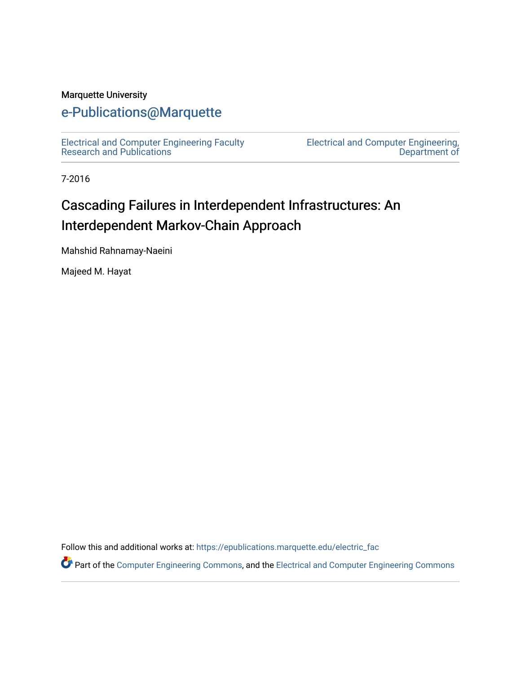### Marquette University

## [e-Publications@Marquette](https://epublications.marquette.edu/)

[Electrical and Computer Engineering Faculty](https://epublications.marquette.edu/electric_fac) [Research and Publications](https://epublications.marquette.edu/electric_fac) 

[Electrical and Computer Engineering,](https://epublications.marquette.edu/electric)  [Department of](https://epublications.marquette.edu/electric) 

7-2016

## Cascading Failures in Interdependent Infrastructures: An Interdependent Markov-Chain Approach

Mahshid Rahnamay-Naeini

Majeed M. Hayat

Follow this and additional works at: [https://epublications.marquette.edu/electric\\_fac](https://epublications.marquette.edu/electric_fac?utm_source=epublications.marquette.edu%2Felectric_fac%2F558&utm_medium=PDF&utm_campaign=PDFCoverPages) 

Part of the [Computer Engineering Commons,](http://network.bepress.com/hgg/discipline/258?utm_source=epublications.marquette.edu%2Felectric_fac%2F558&utm_medium=PDF&utm_campaign=PDFCoverPages) and the [Electrical and Computer Engineering Commons](http://network.bepress.com/hgg/discipline/266?utm_source=epublications.marquette.edu%2Felectric_fac%2F558&utm_medium=PDF&utm_campaign=PDFCoverPages)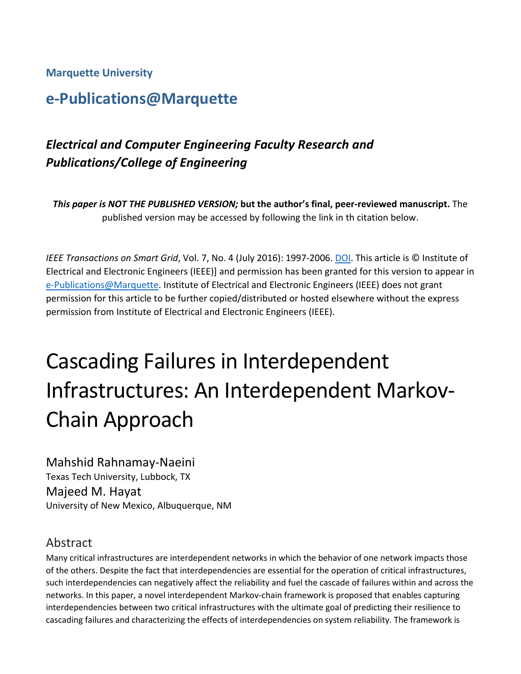**Marquette University**

## **e-Publications@Marquette**

## *Electrical and Computer Engineering Faculty Research and Publications/College of Engineering*

*This paper is NOT THE PUBLISHED VERSION;* **but the author's final, peer-reviewed manuscript.** The published version may be accessed by following the link in th citation below.

*IEEE Transactions on Smart Grid*, Vol. 7, No. 4 (July 2016): 1997-2006. [DOI.](https://doi.org/10.1109/TSG.2016.2539823) This article is © Institute of Electrical and Electronic Engineers (IEEE)] and permission has been granted for this version to appear in [e-Publications@Marquette.](http://epublications.marquette.edu/) Institute of Electrical and Electronic Engineers (IEEE) does not grant permission for this article to be further copied/distributed or hosted elsewhere without the express permission from Institute of Electrical and Electronic Engineers (IEEE).

# Cascading Failures in Interdependent Infrastructures: An Interdependent Markov-Chain Approach

Mahshid Rahnamay-Naeini Texas Tech University, Lubbock, TX Majeed M. Hayat University of New Mexico, Albuquerque, NM

## Abstract

Many critical infrastructures are interdependent networks in which the behavior of one network impacts those of the others. Despite the fact that interdependencies are essential for the operation of critical infrastructures, such interdependencies can negatively affect the reliability and fuel the cascade of failures within and across the networks. In this paper, a novel interdependent Markov-chain framework is proposed that enables capturing interdependencies between two critical infrastructures with the ultimate goal of predicting their resilience to cascading failures and characterizing the effects of interdependencies on system reliability. The framework is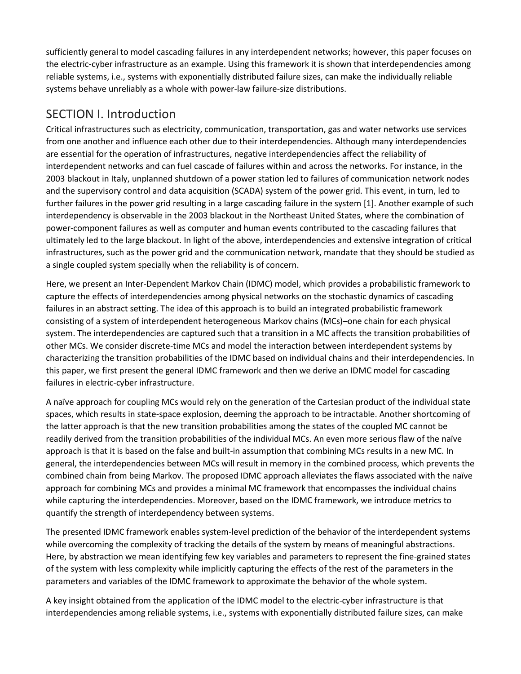sufficiently general to model cascading failures in any interdependent networks; however, this paper focuses on the electric-cyber infrastructure as an example. Using this framework it is shown that interdependencies among reliable systems, i.e., systems with exponentially distributed failure sizes, can make the individually reliable systems behave unreliably as a whole with power-law failure-size distributions.

### SECTION I. Introduction

Critical infrastructures such as electricity, communication, transportation, gas and water networks use services from one another and influence each other due to their interdependencies. Although many interdependencies are essential for the operation of infrastructures, negative interdependencies affect the reliability of interdependent networks and can fuel cascade of failures within and across the networks. For instance, in the 2003 blackout in Italy, unplanned shutdown of a power station led to failures of communication network nodes and the supervisory control and data acquisition (SCADA) system of the power grid. This event, in turn, led to further failures in the power grid resulting in a large cascading failure in the system [1]. Another example of such interdependency is observable in the 2003 blackout in the Northeast United States, where the combination of power-component failures as well as computer and human events contributed to the cascading failures that ultimately led to the large blackout. In light of the above, interdependencies and extensive integration of critical infrastructures, such as the power grid and the communication network, mandate that they should be studied as a single coupled system specially when the reliability is of concern.

Here, we present an Inter-Dependent Markov Chain (IDMC) model, which provides a probabilistic framework to capture the effects of interdependencies among physical networks on the stochastic dynamics of cascading failures in an abstract setting. The idea of this approach is to build an integrated probabilistic framework consisting of a system of interdependent heterogeneous Markov chains (MCs)–one chain for each physical system. The interdependencies are captured such that a transition in a MC affects the transition probabilities of other MCs. We consider discrete-time MCs and model the interaction between interdependent systems by characterizing the transition probabilities of the IDMC based on individual chains and their interdependencies. In this paper, we first present the general IDMC framework and then we derive an IDMC model for cascading failures in electric-cyber infrastructure.

A naïve approach for coupling MCs would rely on the generation of the Cartesian product of the individual state spaces, which results in state-space explosion, deeming the approach to be intractable. Another shortcoming of the latter approach is that the new transition probabilities among the states of the coupled MC cannot be readily derived from the transition probabilities of the individual MCs. An even more serious flaw of the naïve approach is that it is based on the false and built-in assumption that combining MCs results in a new MC. In general, the interdependencies between MCs will result in memory in the combined process, which prevents the combined chain from being Markov. The proposed IDMC approach alleviates the flaws associated with the naïve approach for combining MCs and provides a minimal MC framework that encompasses the individual chains while capturing the interdependencies. Moreover, based on the IDMC framework, we introduce metrics to quantify the strength of interdependency between systems.

The presented IDMC framework enables system-level prediction of the behavior of the interdependent systems while overcoming the complexity of tracking the details of the system by means of meaningful abstractions. Here, by abstraction we mean identifying few key variables and parameters to represent the fine-grained states of the system with less complexity while implicitly capturing the effects of the rest of the parameters in the parameters and variables of the IDMC framework to approximate the behavior of the whole system.

A key insight obtained from the application of the IDMC model to the electric-cyber infrastructure is that interdependencies among reliable systems, i.e., systems with exponentially distributed failure sizes, can make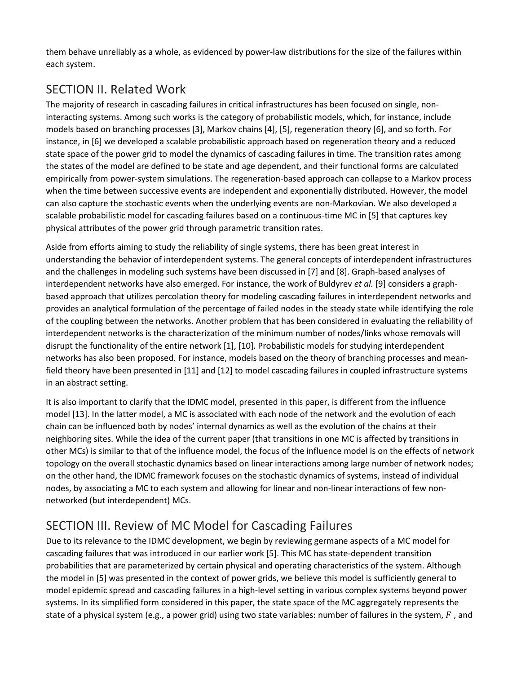them behave unreliably as a whole, as evidenced by power-law distributions for the size of the failures within each system.

## SECTION II. Related Work

The majority of research in cascading failures in critical infrastructures has been focused on single, noninteracting systems. Among such works is the category of probabilistic models, which, for instance, include models based on branching processes [3], Markov chains [4], [5], regeneration theory [6], and so forth. For instance, in [6] we developed a scalable probabilistic approach based on regeneration theory and a reduced state space of the power grid to model the dynamics of cascading failures in time. The transition rates among the states of the model are defined to be state and age dependent, and their functional forms are calculated empirically from power-system simulations. The regeneration-based approach can collapse to a Markov process when the time between successive events are independent and exponentially distributed. However, the model can also capture the stochastic events when the underlying events are non-Markovian. We also developed a scalable probabilistic model for cascading failures based on a continuous-time MC in [5] that captures key physical attributes of the power grid through parametric transition rates.

Aside from efforts aiming to study the reliability of single systems, there has been great interest in understanding the behavior of interdependent systems. The general concepts of interdependent infrastructures and the challenges in modeling such systems have been discussed in [7] and [8]. Graph-based analyses of interdependent networks have also emerged. For instance, the work of Buldyrev *et al.* [9] considers a graphbased approach that utilizes percolation theory for modeling cascading failures in interdependent networks and provides an analytical formulation of the percentage of failed nodes in the steady state while identifying the role of the coupling between the networks. Another problem that has been considered in evaluating the reliability of interdependent networks is the characterization of the minimum number of nodes/links whose removals will disrupt the functionality of the entire network [1], [10]. Probabilistic models for studying interdependent networks has also been proposed. For instance, models based on the theory of branching processes and meanfield theory have been presented in [11] and [12] to model cascading failures in coupled infrastructure systems in an abstract setting.

It is also important to clarify that the IDMC model, presented in this paper, is different from the influence model [13]. In the latter model, a MC is associated with each node of the network and the evolution of each chain can be influenced both by nodes' internal dynamics as well as the evolution of the chains at their neighboring sites. While the idea of the current paper (that transitions in one MC is affected by transitions in other MCs) is similar to that of the influence model, the focus of the influence model is on the effects of network topology on the overall stochastic dynamics based on linear interactions among large number of network nodes; on the other hand, the IDMC framework focuses on the stochastic dynamics of systems, instead of individual nodes, by associating a MC to each system and allowing for linear and non-linear interactions of few nonnetworked (but interdependent) MCs.

## SECTION III. Review of MC Model for Cascading Failures

Due to its relevance to the IDMC development, we begin by reviewing germane aspects of a MC model for cascading failures that was introduced in our earlier work [5]. This MC has state-dependent transition probabilities that are parameterized by certain physical and operating characteristics of the system. Although the model in [5] was presented in the context of power grids, we believe this model is sufficiently general to model epidemic spread and cascading failures in a high-level setting in various complex systems beyond power systems. In its simplified form considered in this paper, the state space of the MC aggregately represents the state of a physical system (e.g., a power grid) using two state variables: number of failures in the system,  $F$ , and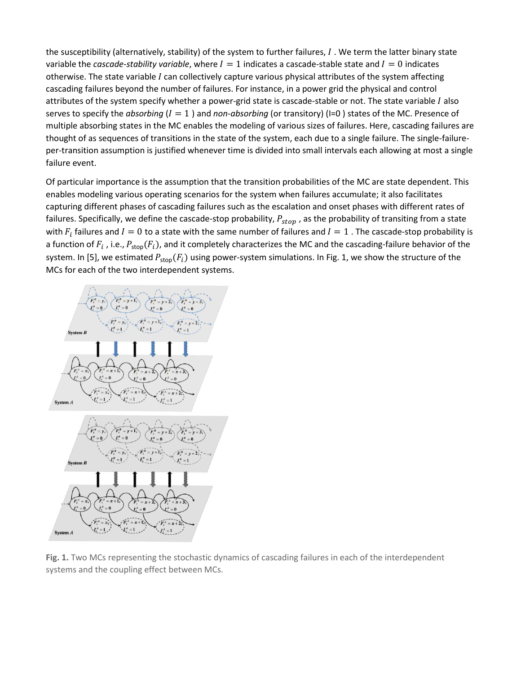the susceptibility (alternatively, stability) of the system to further failures,  $I$  . We term the latter binary state variable the *cascade-stability variable*, where  $I = 1$  indicates a cascade-stable state and  $I = 0$  indicates otherwise. The state variable I can collectively capture various physical attributes of the system affecting cascading failures beyond the number of failures. For instance, in a power grid the physical and control attributes of the system specify whether a power-grid state is cascade-stable or not. The state variable  $I$  also serves to specify the *absorbing*  $(I = 1)$  and *non-absorbing* (or transitory) (I=0) states of the MC. Presence of multiple absorbing states in the MC enables the modeling of various sizes of failures. Here, cascading failures are thought of as sequences of transitions in the state of the system, each due to a single failure. The single-failureper-transition assumption is justified whenever time is divided into small intervals each allowing at most a single failure event.

Of particular importance is the assumption that the transition probabilities of the MC are state dependent. This enables modeling various operating scenarios for the system when failures accumulate; it also facilitates capturing different phases of cascading failures such as the escalation and onset phases with different rates of failures. Specifically, we define the cascade-stop probability,  $P_{stop}$ , as the probability of transiting from a state with  $F_i$  failures and  $I = 0$  to a state with the same number of failures and  $I = 1$ . The cascade-stop probability is a function of  $F_i$ , i.e.,  $P_{stop}(F_i)$ , and it completely characterizes the MC and the cascading-failure behavior of the system. In [5], we estimated  $P_{stop}(F_i)$  using power-system simulations. In Fig. 1, we show the structure of the MCs for each of the two interdependent systems.



**Fig. 1.** Two MCs representing the stochastic dynamics of cascading failures in each of the interdependent systems and the coupling effect between MCs.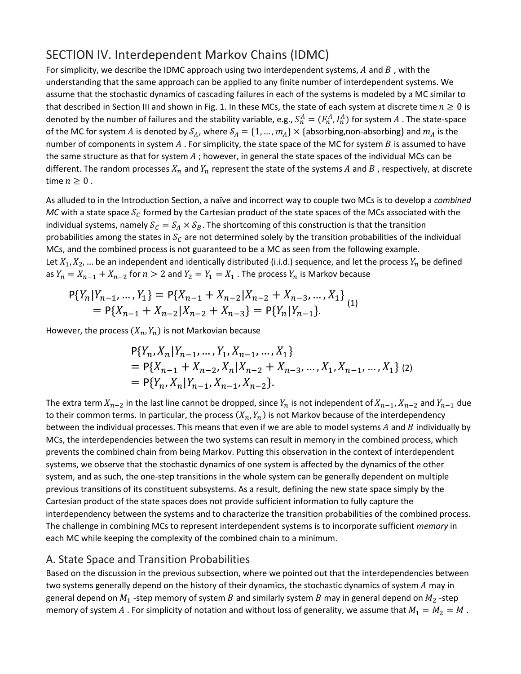### SECTION IV. Interdependent Markov Chains (IDMC)

For simplicity, we describe the IDMC approach using two interdependent systems,  $A$  and  $B$ , with the understanding that the same approach can be applied to any finite number of interdependent systems. We assume that the stochastic dynamics of cascading failures in each of the systems is modeled by a MC similar to that described in Section III and shown in Fig. 1. In these MCs, the state of each system at discrete time  $n \ge 0$  is denoted by the number of failures and the stability variable, e.g.,  $S_n^A = (F_n^A, I_n^A)$  for system  $A$  . The state-space of the MC for system A is denoted by  $S_A$ , where  $S_A = \{1, ..., m_A\} \times \{absorbing,$  non-absorbing} and  $m_A$  is the number of components in system  $A$ . For simplicity, the state space of the MC for system  $B$  is assumed to have the same structure as that for system  $A$ ; however, in general the state spaces of the individual MCs can be different. The random processes  $X_n$  and  $Y_n$  represent the state of the systems A and B, respectively, at discrete time  $n \geq 0$ .

As alluded to in the Introduction Section, a naïve and incorrect way to couple two MCs is to develop a *combined MC* with a state space  $S_c$  formed by the Cartesian product of the state spaces of the MCs associated with the individual systems, namely  $S_C = S_A \times S_B$ . The shortcoming of this construction is that the transition probabilities among the states in  $S_c$  are not determined solely by the transition probabilities of the individual MCs, and the combined process is not guaranteed to be a MC as seen from the following example. Let  $X_1, X_2, ...$  be an independent and identically distributed (i.i.d.) sequence, and let the process  $Y_n$  be defined as  $Y_n = X_{n-1} + X_{n-2}$  for  $n > 2$  and  $Y_2 = Y_1 = X_1$ . The process  $Y_n$  is Markov because

$$
P{Y_n|Y_{n-1},...,Y_1} = P{X_{n-1} + X_{n-2}|X_{n-2} + X_{n-3},...,X_1}
$$
  
= 
$$
P{X_{n-1} + X_{n-2}|X_{n-2} + X_{n-3}} = P{Y_n|Y_{n-1}}.
$$
 (1)

However, the process  $(X_n, Y_n)$  is not Markovian because

$$
P{Y_n, X_n | Y_{n-1}, ..., Y_1, X_{n-1}, ..., X_1}
$$
  
=  $P{X_{n-1} + X_{n-2}, X_n | X_{n-2} + X_{n-3}, ..., X_1, X_{n-1}, ..., X_1}$  (2)  
=  $P{Y_n, X_n | Y_{n-1}, X_{n-1}, X_{n-2}}$ .

The extra term  $X_{n-2}$  in the last line cannot be dropped, since  $Y_n$  is not independent of  $X_{n-1}$ ,  $X_{n-2}$  and  $Y_{n-1}$  due to their common terms. In particular, the process  $(X_n, Y_n)$  is not Markov because of the interdependency between the individual processes. This means that even if we are able to model systems  $A$  and  $B$  individually by MCs, the interdependencies between the two systems can result in memory in the combined process, which prevents the combined chain from being Markov. Putting this observation in the context of interdependent systems, we observe that the stochastic dynamics of one system is affected by the dynamics of the other system, and as such, the one-step transitions in the whole system can be generally dependent on multiple previous transitions of its constituent subsystems. As a result, defining the new state space simply by the Cartesian product of the state spaces does not provide sufficient information to fully capture the interdependency between the systems and to characterize the transition probabilities of the combined process. The challenge in combining MCs to represent interdependent systems is to incorporate sufficient *memory* in each MC while keeping the complexity of the combined chain to a minimum.

### A. State Space and Transition Probabilities

Based on the discussion in the previous subsection, where we pointed out that the interdependencies between two systems generally depend on the history of their dynamics, the stochastic dynamics of system  $A$  may in general depend on  $M_1$  -step memory of system B and similarly system B may in general depend on  $M_2$  -step memory of system A . For simplicity of notation and without loss of generality, we assume that  $M_1 = M_2 = M$ .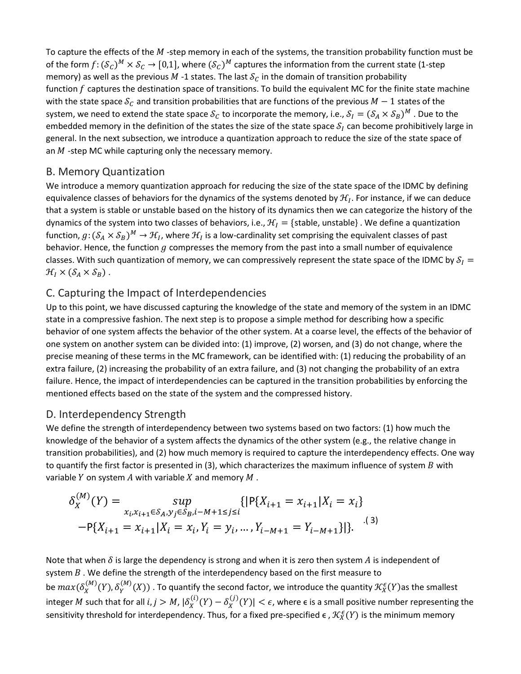To capture the effects of the  $M$  -step memory in each of the systems, the transition probability function must be of the form  $f: (\mathcal{S}_c)^M \times \mathcal{S}_c \to [0,1]$ , where  $(\mathcal{S}_c)^M$  captures the information from the current state (1-step memory) as well as the previous M -1 states. The last  $S<sub>C</sub>$  in the domain of transition probability function  $f$  captures the destination space of transitions. To build the equivalent MC for the finite state machine with the state space  $S_c$  and transition probabilities that are functions of the previous  $M-1$  states of the system, we need to extend the state space  $S_c$  to incorporate the memory, i.e.,  $S_I = (S_A \times S_B)^M$ . Due to the embedded memory in the definition of the states the size of the state space  $S_I$  can become prohibitively large in general. In the next subsection, we introduce a quantization approach to reduce the size of the state space of an  $M$  -step MC while capturing only the necessary memory.

### B. Memory Quantization

We introduce a memory quantization approach for reducing the size of the state space of the IDMC by defining equivalence classes of behaviors for the dynamics of the systems denoted by  $\mathcal{H}_I$ . For instance, if we can deduce that a system is stable or unstable based on the history of its dynamics then we can categorize the history of the dynamics of the system into two classes of behaviors, i.e.,  $\mathcal{H}_I = \{\text{stable}, \text{unstable}\}\.$  We define a quantization function,  $g: (\mathcal{S}_A \times \mathcal{S}_B)^M \to \mathcal{H}_I$ , where  $\mathcal{H}_I$  is a low-cardinality set comprising the equivalent classes of past behavior. Hence, the function  $g$  compresses the memory from the past into a small number of equivalence classes. With such quantization of memory, we can compressively represent the state space of the IDMC by  $S_I =$  $\mathcal{H}_I \times (\mathcal{S}_A \times \mathcal{S}_B)$ .

### C. Capturing the Impact of Interdependencies

Up to this point, we have discussed capturing the knowledge of the state and memory of the system in an IDMC state in a compressive fashion. The next step is to propose a simple method for describing how a specific behavior of one system affects the behavior of the other system. At a coarse level, the effects of the behavior of one system on another system can be divided into: (1) improve, (2) worsen, and (3) do not change, where the precise meaning of these terms in the MC framework, can be identified with: (1) reducing the probability of an extra failure, (2) increasing the probability of an extra failure, and (3) not changing the probability of an extra failure. Hence, the impact of interdependencies can be captured in the transition probabilities by enforcing the mentioned effects based on the state of the system and the compressed history.

### D. Interdependency Strength

We define the strength of interdependency between two systems based on two factors: (1) how much the knowledge of the behavior of a system affects the dynamics of the other system (e.g., the relative change in transition probabilities), and (2) how much memory is required to capture the interdependency effects. One way to quantify the first factor is presented in (3), which characterizes the maximum influence of system  $B$  with variable  $Y$  on system  $A$  with variable  $X$  and memory  $M$ .

$$
\delta_X^{(M)}(Y) = \sup_{x_i, x_{i+1} \in S_A, y_j \in S_B, i-M+1 \le j \le i} \{ |P\{X_{i+1} = x_{i+1} | X_i = x_i \} - P\{X_{i+1} = x_{i+1} | X_i = x_i, Y_i = y_i, ..., Y_{i-M+1} = Y_{i-M+1} \} | \}.
$$
 (3)

Note that when  $\delta$  is large the dependency is strong and when it is zero then system A is independent of system  $B$  . We define the strength of the interdependency based on the first measure to be  $max(\delta_X^{(M)}(Y), \delta_Y^{(M)}(X))$  . To quantify the second factor, we introduce the quantity  $\mathcal{K}_X^{\epsilon}(Y)$ as the smallest integer M such that for all  $i, j > M$ ,  $|\delta_X^{(1)}(Y) - \delta_X^{(j)}(Y)| < \epsilon$ , where  $\epsilon$  is a small positive number representing the sensitivity threshold for interdependency. Thus, for a fixed pre-specified  $\epsilon$  ,  $\mathcal{K}^\epsilon_X(Y)$  is the minimum memory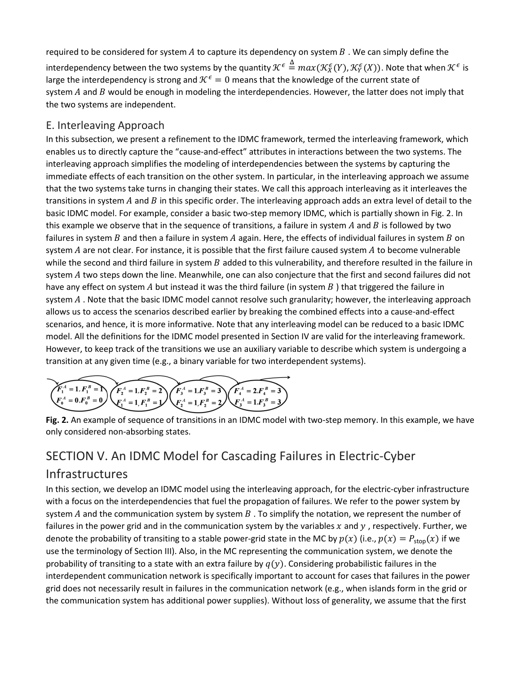required to be considered for system  $A$  to capture its dependency on system  $B$ . We can simply define the interdependency between the two systems by the quantity  $\mathcal{K}^{\epsilon}\triangleq max(\mathcal{K}^{\epsilon}_X(Y),\mathcal{K}^{\epsilon}_Y(X)).$  Note that when  $\mathcal{K}^{\epsilon}$  is large the interdependency is strong and  $K^{\epsilon} = 0$  means that the knowledge of the current state of system  $A$  and  $B$  would be enough in modeling the interdependencies. However, the latter does not imply that the two systems are independent.

### E. Interleaving Approach

In this subsection, we present a refinement to the IDMC framework, termed the interleaving framework, which enables us to directly capture the "cause-and-effect" attributes in interactions between the two systems. The interleaving approach simplifies the modeling of interdependencies between the systems by capturing the immediate effects of each transition on the other system. In particular, in the interleaving approach we assume that the two systems take turns in changing their states. We call this approach interleaving as it interleaves the transitions in system  $A$  and  $B$  in this specific order. The interleaving approach adds an extra level of detail to the basic IDMC model. For example, consider a basic two-step memory IDMC, which is partially shown in Fig. 2. In this example we observe that in the sequence of transitions, a failure in system  $A$  and  $B$  is followed by two failures in system  $B$  and then a failure in system  $A$  again. Here, the effects of individual failures in system  $B$  on system  $A$  are not clear. For instance, it is possible that the first failure caused system  $A$  to become vulnerable while the second and third failure in system  $B$  added to this vulnerability, and therefore resulted in the failure in system A two steps down the line. Meanwhile, one can also conjecture that the first and second failures did not have any effect on system A but instead it was the third failure (in system  $B$ ) that triggered the failure in system  $A$ . Note that the basic IDMC model cannot resolve such granularity; however, the interleaving approach allows us to access the scenarios described earlier by breaking the combined effects into a cause-and-effect scenarios, and hence, it is more informative. Note that any interleaving model can be reduced to a basic IDMC model. All the definitions for the IDMC model presented in Section IV are valid for the interleaving framework. However, to keep track of the transitions we use an auxiliary variable to describe which system is undergoing a transition at any given time (e.g., a binary variable for two interdependent systems).

$$
\underbrace{F_1^A = 1, F_1^B = 1}_{\underbrace{F_0^A = 0}, F_0^B = 0}
$$
\n
$$
\underbrace{F_2^A = 1, F_1^B = 2}_{\underbrace{F_1^A = 1}, F_1^B = 1}
$$
\n
$$
\underbrace{F_3^A = 1, F_3^B = 3}_{\underbrace{F_2^A = 1}, F_2^B = 2}
$$
\n
$$
\underbrace{F_4^A = 2F_4^B = 3}_{\underbrace{F_3^A = 1}, F_3^B = 3}
$$

**Fig. 2.** An example of sequence of transitions in an IDMC model with two-step memory. In this example, we have only considered non-absorbing states.

## SECTION V. An IDMC Model for Cascading Failures in Electric-Cyber

### Infrastructures

In this section, we develop an IDMC model using the interleaving approach, for the electric-cyber infrastructure with a focus on the interdependencies that fuel the propagation of failures. We refer to the power system by system A and the communication system by system  $B$ . To simplify the notation, we represent the number of failures in the power grid and in the communication system by the variables  $x$  and  $y$ , respectively. Further, we denote the probability of transiting to a stable power-grid state in the MC by  $p(x)$  (i.e.,  $p(x) = P_{\text{stop}}(x)$  if we use the terminology of Section III). Also, in the MC representing the communication system, we denote the probability of transiting to a state with an extra failure by  $q(y)$ . Considering probabilistic failures in the interdependent communication network is specifically important to account for cases that failures in the power grid does not necessarily result in failures in the communication network (e.g., when islands form in the grid or the communication system has additional power supplies). Without loss of generality, we assume that the first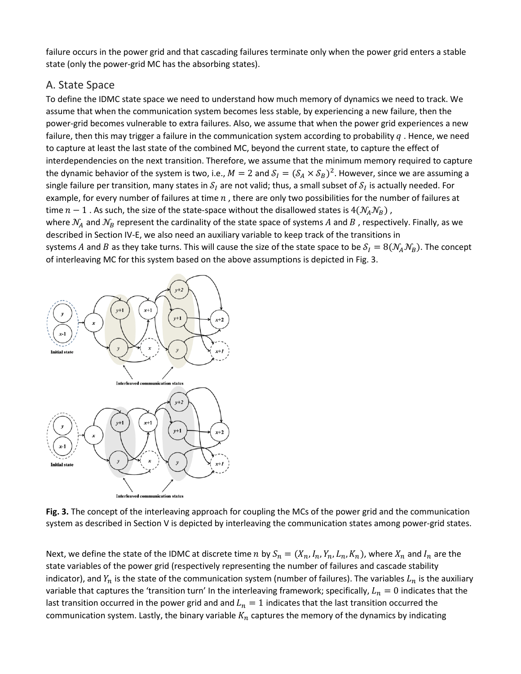failure occurs in the power grid and that cascading failures terminate only when the power grid enters a stable state (only the power-grid MC has the absorbing states).

### A. State Space

To define the IDMC state space we need to understand how much memory of dynamics we need to track. We assume that when the communication system becomes less stable, by experiencing a new failure, then the power-grid becomes vulnerable to extra failures. Also, we assume that when the power grid experiences a new failure, then this may trigger a failure in the communication system according to probability  $q$ . Hence, we need to capture at least the last state of the combined MC, beyond the current state, to capture the effect of interdependencies on the next transition. Therefore, we assume that the minimum memory required to capture the dynamic behavior of the system is two, i.e.,  $M = 2$  and  $S_I = (S_A \times S_B)^2$ . However, since we are assuming a single failure per transition, many states in  $S_I$  are not valid; thus, a small subset of  $S_I$  is actually needed. For example, for every number of failures at time  $n$ , there are only two possibilities for the number of failures at time  $n-1$  . As such, the size of the state-space without the disallowed states is  $4(\mathcal{N}_A \mathcal{N}_B)$ , where  $N_A$  and  $N_B$  represent the cardinality of the state space of systems A and B, respectively. Finally, as we described in Section IV-E, we also need an auxiliary variable to keep track of the transitions in systems A and B as they take turns. This will cause the size of the state space to be  $S_I = 8(\mathcal{N}_A\mathcal{N}_B)$ . The concept of interleaving MC for this system based on the above assumptions is depicted in Fig. 3.



**Fig. 3.** The concept of the interleaving approach for coupling the MCs of the power grid and the communication system as described in Section V is depicted by interleaving the communication states among power-grid states.

Next, we define the state of the IDMC at discrete time n by  $S_n = (X_n, I_n, Y_n, L_n, K_n)$ , where  $X_n$  and  $I_n$  are the state variables of the power grid (respectively representing the number of failures and cascade stability indicator), and  $Y_n$  is the state of the communication system (number of failures). The variables  $L_n$  is the auxiliary variable that captures the 'transition turn' In the interleaving framework; specifically,  $L_n = 0$  indicates that the last transition occurred in the power grid and and  $L_n = 1$  indicates that the last transition occurred the communication system. Lastly, the binary variable  $K_n$  captures the memory of the dynamics by indicating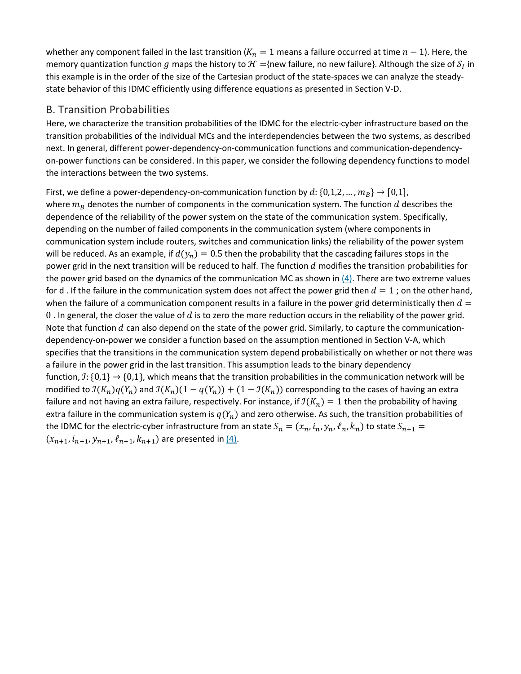whether any component failed in the last transition ( $K_n = 1$  means a failure occurred at time  $n - 1$ ). Here, the memory quantization function g maps the history to  $\mathcal{H}$  ={new failure, no new failure}. Although the size of  $S_I$  in this example is in the order of the size of the Cartesian product of the state-spaces we can analyze the steadystate behavior of this IDMC efficiently using difference equations as presented in Section V-D.

### B. Transition Probabilities

Here, we characterize the transition probabilities of the IDMC for the electric-cyber infrastructure based on the transition probabilities of the individual MCs and the interdependencies between the two systems, as described next. In general, different power-dependency-on-communication functions and communication-dependencyon-power functions can be considered. In this paper, we consider the following dependency functions to model the interactions between the two systems.

First, we define a power-dependency-on-communication function by  $d: \{0,1,2,...,m_B\} \rightarrow [0,1],$ where  $m_B$  denotes the number of components in the communication system. The function d describes the dependence of the reliability of the power system on the state of the communication system. Specifically, depending on the number of failed components in the communication system (where components in communication system include routers, switches and communication links) the reliability of the power system will be reduced. As an example, if  $d(y_n) = 0.5$  then the probability that the cascading failures stops in the power grid in the next transition will be reduced to half. The function  $d$  modifies the transition probabilities for the power grid based on the dynamics of the communication MC as shown in [\(4\).](https://ieeexplore.ieee.org/document/#deqn4) There are two extreme values for d. If the failure in the communication system does not affect the power grid then  $d = 1$ ; on the other hand, when the failure of a communication component results in a failure in the power grid deterministically then  $d =$ 0. In general, the closer the value of  $d$  is to zero the more reduction occurs in the reliability of the power grid. Note that function  $d$  can also depend on the state of the power grid. Similarly, to capture the communicationdependency-on-power we consider a function based on the assumption mentioned in Section V-A, which specifies that the transitions in the communication system depend probabilistically on whether or not there was a failure in the power grid in the last transition. This assumption leads to the binary dependency function,  $\mathfrak{I}:\{0,1\} \to \{0,1\}$ , which means that the transition probabilities in the communication network will be modified to  $\mathcal{I}(K_n)q(Y_n)$  and  $\mathcal{I}(K_n)(1 - q(Y_n)) + (1 - \mathcal{I}(K_n))$  corresponding to the cases of having an extra failure and not having an extra failure, respectively. For instance, if  $\mathcal{I}(K_n) = 1$  then the probability of having extra failure in the communication system is  $q(Y_n)$  and zero otherwise. As such, the transition probabilities of the IDMC for the electric-cyber infrastructure from an state  $S_n = (x_n, i_n, y_n, \ell_n, k_n)$  to state  $S_{n+1}$  =  $(x_{n+1}, i_{n+1}, y_{n+1}, \ell_{n+1}, k_{n+1})$  are presented in  $\underline{(4)}$ .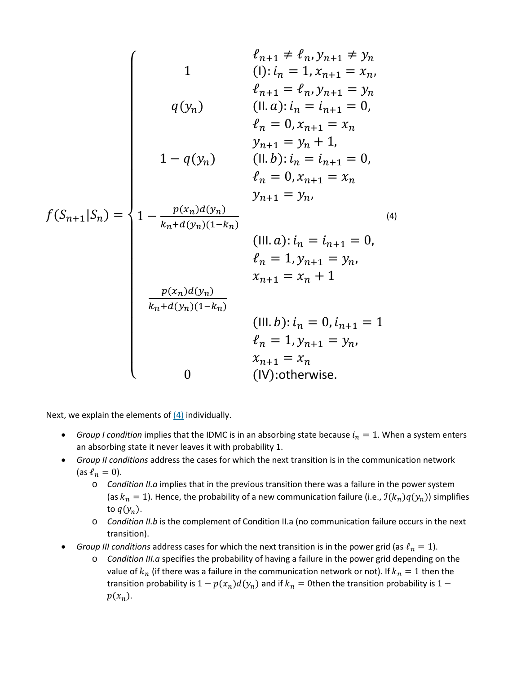$$
f(S_{n+1}|S_n) = \begin{cases} \n0 & \text{if } i = 1, x_{n+1} \neq i_n, y_{n+1} \neq y_n \\ \n1 & \text{(i)}: i_n = 1, x_{n+1} = x_n, \\ \n0 & \text{(ii)}: i_n = i_{n+1} = 0, \\ \n0 & \text{(iii)}: i_n = i_{n+1} = 0, \\ \n0 & \text{(iv)}: i_n = i_{n+1} = 0, \\ \n0 & \text{(v)}: i_n = i_{n+1} = 0, \\ \n1 & \text{(iv)}: i_n = i_{n+1} = 0, \\ \n0 & \text{(v)}: i_n = i_{n+1} = 0, \\ \n0 & \text{(v)}: i_n = i_{n+1} = 0, \\ \n0 & \text{(iv)}: i_n = i_{n+1} = 0, \\ \n0 & \text{(v)}: i_n = i_{n+1} = y_n, \\ \n0 & \text{(v)}: i_n = 0, i_{n+1} = 1 \\ \n0 & \text{(v)}: \text{otherwise.} \n\end{cases}
$$

Next, we explain the elements of  $(4)$  individually.

- *Group I condition* implies that the IDMC is in an absorbing state because  $i_n = 1$ . When a system enters an absorbing state it never leaves it with probability 1.
- *Group II conditions* address the cases for which the next transition is in the communication network (as  $\ell_n = 0$ ).
	- o *Condition II.a* implies that in the previous transition there was a failure in the power system (as  $k_n = 1$ ). Hence, the probability of a new communication failure (i.e.,  $\mathcal{I}(k_n)q(y_n)$ ) simplifies to  $q(y_n)$ .
	- o *Condition II.b* is the complement of Condition II.a (no communication failure occurs in the next transition).
- *Group III conditions* address cases for which the next transition is in the power grid (as  $\ell_n = 1$ ).
	- o *Condition III.a* specifies the probability of having a failure in the power grid depending on the value of  $k_n$  (if there was a failure in the communication network or not). If  $k_n = 1$  then the transition probability is  $1 - p(x_n)d(y_n)$  and if  $k_n = 0$ then the transition probability is  $1 - p(x_n)d(y_n)$  $p(x_n)$ .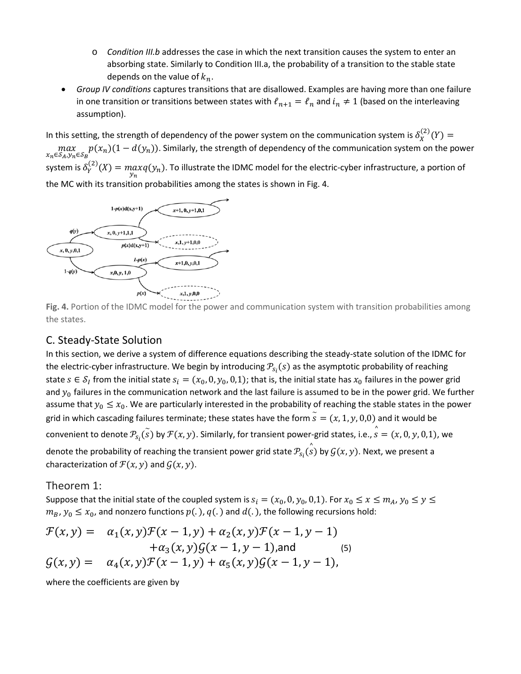- o *Condition III.b* addresses the case in which the next transition causes the system to enter an absorbing state. Similarly to Condition III.a, the probability of a transition to the stable state depends on the value of  $k_n$ .
- *Group IV conditions* captures transitions that are disallowed. Examples are having more than one failure in one transition or transitions between states with  $\ell_{n+1} = \ell_n$  and  $i_n \neq 1$  (based on the interleaving assumption).

In this setting, the strength of dependency of the power system on the communication system is  $\delta_X^{(2)}(Y)$  =  $max_{x_n \in S_A, y_n \in S_B} p(x_n) (1 - d(y_n))$ . Similarly, the strength of dependency of the communication system on the power system is  $\delta_Y^{(2)}(X) = \max_{y_n} q(y_n)$ . To illustrate the IDMC model for the electric-cyber infrastructure, a portion of the MC with its transition probabilities among the states is shown in Fig. 4.



**Fig. 4.** Portion of the IDMC model for the power and communication system with transition probabilities among the states.

### C. Steady-State Solution

In this section, we derive a system of difference equations describing the steady-state solution of the IDMC for the electric-cyber infrastructure. We begin by introducing  $\mathcal{P}_{S_i}(s)$  as the asymptotic probability of reaching state  $s \in S_i$  from the initial state  $s_i = (x_0, 0, y_0, 0, 1)$ ; that is, the initial state has  $x_0$  failures in the power grid and  $y_0$  failures in the communication network and the last failure is assumed to be in the power grid. We further assume that  $y_0 \le x_0$ . We are particularly interested in the probability of reaching the stable states in the power grid in which cascading failures terminate; these states have the form  $\widetilde{s}=(x,1,y,0,0)$  and it would be convenient to denote  $\mathcal{P}_{S_i}(\tilde{s})$  by  $\mathcal{F}(x,y)$ . Similarly, for transient power-grid states, i.e.,  $\hat{s}=(x,0,y,0,1)$ , we denote the probability of reaching the transient power grid state  $\mathcal{P}_{S_i}(\overset{\circ}{s})$  by  $\mathcal{G}(x,y).$  Next, we present a characterization of  $\mathcal{F}(x, y)$  and  $\mathcal{G}(x, y)$ .

### Theorem 1:

Suppose that the initial state of the coupled system is  $s_i = (x_0, 0, y_0, 0, 1)$ . For  $x_0 \le x \le m_A$ ,  $y_0 \le y \le 1$  $m_B$ ,  $y_0 \le x_0$ , and nonzero functions  $p(.)$ ,  $q(.)$  and  $d(.)$ , the following recursions hold:

$$
\mathcal{F}(x, y) = \alpha_1(x, y)\mathcal{F}(x - 1, y) + \alpha_2(x, y)\mathcal{F}(x - 1, y - 1) \n+ \alpha_3(x, y)\mathcal{G}(x - 1, y - 1),
$$
and (5)  
\n
$$
\mathcal{G}(x, y) = \alpha_4(x, y)\mathcal{F}(x - 1, y) + \alpha_5(x, y)\mathcal{G}(x - 1, y - 1),
$$

where the coefficients are given by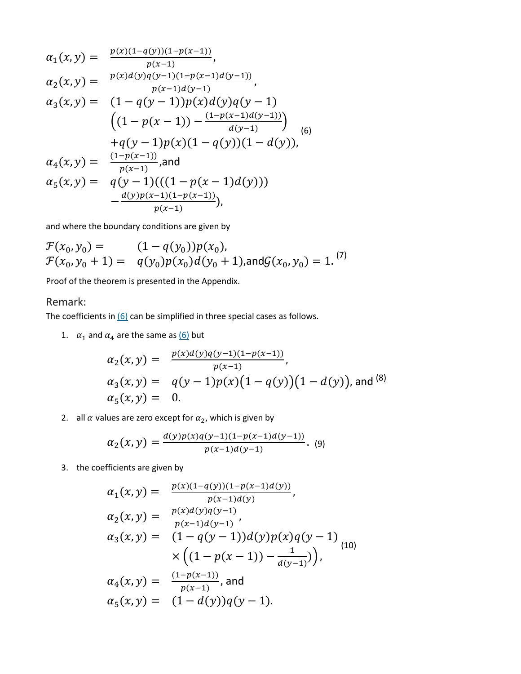$$
\alpha_1(x, y) = \frac{p(x)(1-q(y))(1-p(x-1))}{p(x-1)},
$$
\n
$$
\alpha_2(x, y) = \frac{p(x)d(y)q(y-1)(1-p(x-1)d(y-1))}{p(x-1)d(y-1)},
$$
\n
$$
\alpha_3(x, y) = (1-q(y-1))p(x)d(y)q(y-1)
$$
\n
$$
((1-p(x-1)) - \frac{(1-p(x-1)d(y-1))}{d(y-1)})
$$
\n
$$
+q(y-1)p(x)(1-q(y))(1-d(y)),
$$
\n
$$
\alpha_4(x, y) = \frac{(1-p(x-1))}{p(x-1)},
$$
\nand\n
$$
\alpha_5(x, y) = q(y-1)((1-p(x-1)d(y)))
$$
\n
$$
-\frac{d(y)p(x-1)(1-p(x-1))}{p(x-1)}),
$$

and where the boundary conditions are given by

$$
\mathcal{F}(x_0, y_0) = (1 - q(y_0))p(x_0),
$$
  
\n
$$
\mathcal{F}(x_0, y_0 + 1) = q(y_0)p(x_0)d(y_0 + 1),
$$
 and 
$$
\mathcal{G}(x_0, y_0) = 1.
$$
<sup>(7)</sup>

Proof of the theorem is presented in the Appendix.

### Remark:

The coefficients in  $(6)$  can be simplified in three special cases as follows.

1.  $\alpha_1$  and  $\alpha_4$  are the same as [\(6\)](https://ieeexplore.ieee.org/document/#deqn6) but

$$
\alpha_2(x, y) = \frac{p(x)d(y)q(y-1)(1-p(x-1))}{p(x-1)},
$$
  
\n
$$
\alpha_3(x, y) = q(y-1)p(x)(1-q(y))(1-d(y)),
$$
 and (8)  
\n
$$
\alpha_5(x, y) = 0.
$$

2. all  $\alpha$  values are zero except for  $\alpha_2$ , which is given by

$$
\alpha_2(x,y) = \frac{d(y)p(x)q(y-1)(1-p(x-1)d(y-1))}{p(x-1)d(y-1)}.
$$
 (9)

3. the coefficients are given by

$$
\alpha_1(x, y) = \frac{p(x)(1-q(y))(1-p(x-1)d(y))}{p(x-1)d(y)},
$$
  
\n
$$
\alpha_2(x, y) = \frac{p(x)d(y)q(y-1)}{p(x-1)d(y-1)},
$$
  
\n
$$
\alpha_3(x, y) = (1-q(y-1))d(y)p(x)q(y-1)
$$
  
\n
$$
\times \left((1-p(x-1)) - \frac{1}{d(y-1)}\right),
$$
  
\n
$$
\alpha_4(x, y) = \frac{(1-p(x-1))}{p(x-1)},
$$
 and  
\n
$$
\alpha_5(x, y) = (1-d(y))q(y-1).
$$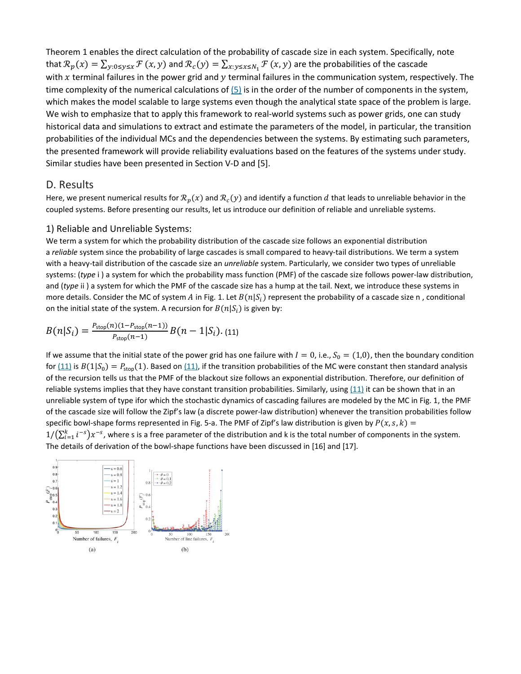Theorem 1 enables the direct calculation of the probability of cascade size in each system. Specifically, note that  $\mathcal{R}_p(x) = \sum_{y:0\leq y\leq x}\mathcal{F}(x, y)$  and  $\mathcal{R}_c(y) = \sum_{x: y\leq x\leq N_1}\mathcal{F}(x, y)$  are the probabilities of the cascade with x terminal failures in the power grid and  $y$  terminal failures in the communication system, respectively. The time complexity of the numerical calculations of [\(5\)](https://ieeexplore.ieee.org/document/#deqn5) is in the order of the number of components in the system, which makes the model scalable to large systems even though the analytical state space of the problem is large. We wish to emphasize that to apply this framework to real-world systems such as power grids, one can study historical data and simulations to extract and estimate the parameters of the model, in particular, the transition probabilities of the individual MCs and the dependencies between the systems. By estimating such parameters, the presented framework will provide reliability evaluations based on the features of the systems under study. Similar studies have been presented in Section V-D and [5].

### D. Results

Here, we present numerical results for  $\mathcal{R}_p(x)$  and  $\mathcal{R}_c(y)$  and identify a function d that leads to unreliable behavior in the coupled systems. Before presenting our results, let us introduce our definition of reliable and unreliable systems.

### 1) Reliable and Unreliable Systems:

We term a system for which the probability distribution of the cascade size follows an exponential distribution a *reliable* system since the probability of large cascades is small compared to heavy-tail distributions. We term a system with a heavy-tail distribution of the cascade size an *unreliable* system. Particularly, we consider two types of unreliable systems: (*type* i ) a system for which the probability mass function (PMF) of the cascade size follows power-law distribution, and (*type* ii ) a system for which the PMF of the cascade size has a hump at the tail. Next, we introduce these systems in more details. Consider the MC of system A in Fig. 1. Let  $B(n|S_i)$  represent the probability of a cascade size n, conditional on the initial state of the system. A recursion for  $B(n|S_i)$  is given by:

$$
B(n|S_i) = \frac{P_{\text{stop}}(n)(1 - P_{\text{stop}}(n-1))}{P_{\text{stop}}(n-1)}B(n-1|S_i). (11)
$$

If we assume that the initial state of the power grid has one failure with  $I=0$ , i.e.,  $S_0=(1,0)$ , then the boundary condition for  $(11)$  is  $B(1|S_0) = P_{\text{stop}}(1)$ . Based on  $(11)$ , if the transition probabilities of the MC were constant then standard analysis of the recursion tells us that the PMF of the blackout size follows an exponential distribution. Therefore, our definition of reliable systems implies that they have constant transition probabilities. Similarly, using [\(11\)](https://ieeexplore.ieee.org/document/#deqn11) it can be shown that in an unreliable system of type ifor which the stochastic dynamics of cascading failures are modeled by the MC in Fig. 1, the PMF of the cascade size will follow the Zipf's law (a discrete power-law distribution) whenever the transition probabilities follow specific bowl-shape forms represented in Fig. 5-a. The PMF of Zipf's law distribution is given by  $P(x, s, k) =$  $1/(\sum_{i=1}^k i^{-s})x^{-s}$ , where s is a free parameter of the distribution and k is the total number of components in the system. The details of derivation of the bowl-shape functions have been discussed in [16] and [17].

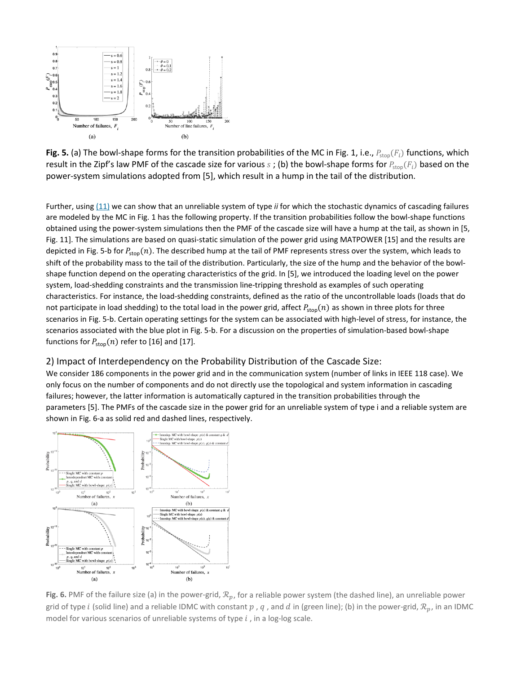

**Fig. 5.** (a) The bowl-shape forms for the transition probabilities of the MC in Fig. 1, i.e.,  $P_{stop}(F_i)$  functions, which result in the Zipf's law PMF of the cascade size for various  $s$ ; (b) the bowl-shape forms for  $P_{\text{stop}}(F_i)$  based on the power-system simulations adopted from [5], which result in a hump in the tail of the distribution.

Further, using [\(11\)](https://ieeexplore.ieee.org/document/#deqn11) we can show that an unreliable system of type *ii* for which the stochastic dynamics of cascading failures are modeled by the MC in Fig. 1 has the following property. If the transition probabilities follow the bowl-shape functions obtained using the power-system simulations then the PMF of the cascade size will have a hump at the tail, as shown in [5, Fig. 11]. The simulations are based on quasi-static simulation of the power grid using MATPOWER [15] and the results are depicted in Fig. 5-b for  $P_{\text{stop}}(n)$ . The described hump at the tail of PMF represents stress over the system, which leads to shift of the probability mass to the tail of the distribution. Particularly, the size of the hump and the behavior of the bowlshape function depend on the operating characteristics of the grid. In [5], we introduced the loading level on the power system, load-shedding constraints and the transmission line-tripping threshold as examples of such operating characteristics. For instance, the load-shedding constraints, defined as the ratio of the uncontrollable loads (loads that do not participate in load shedding) to the total load in the power grid, affect  $P_{stop}(n)$  as shown in three plots for three scenarios in Fig. 5-b. Certain operating settings for the system can be associated with high-level of stress, for instance, the scenarios associated with the blue plot in Fig. 5-b. For a discussion on the properties of simulation-based bowl-shape functions for  $P_{\text{stop}}(n)$  refer to [16] and [17].

#### 2) Impact of Interdependency on the Probability Distribution of the Cascade Size:

We consider 186 components in the power grid and in the communication system (number of links in IEEE 118 case). We only focus on the number of components and do not directly use the topological and system information in cascading failures; however, the latter information is automatically captured in the transition probabilities through the parameters [5]. The PMFs of the cascade size in the power grid for an unreliable system of type i and a reliable system are shown in Fig. 6-a as solid red and dashed lines, respectively.



**Fig. 6.** PMF of the failure size (a) in the power-grid,  $\mathcal{R}_p$ , for a reliable power system (the dashed line), an unreliable power grid of type *i* (solid line) and a reliable IDMC with constant  $p$ ,  $q$ , and  $d$  in (green line); (b) in the power-grid,  $\mathcal{R}_p$ , in an IDMC model for various scenarios of unreliable systems of type  $i$ , in a log-log scale.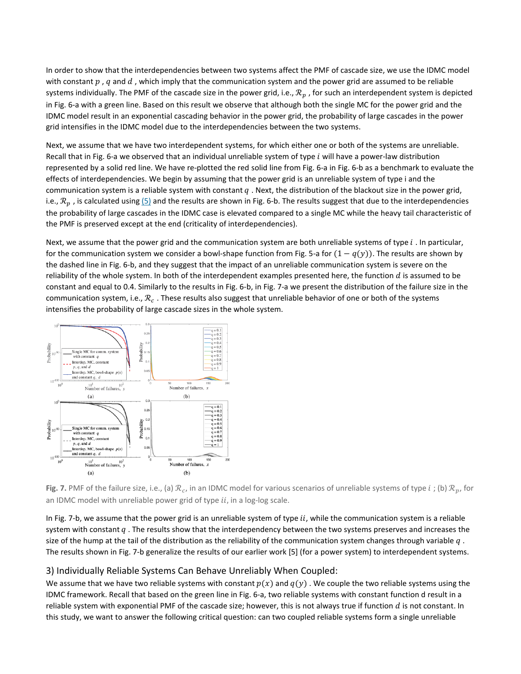In order to show that the interdependencies between two systems affect the PMF of cascade size, we use the IDMC model with constant  $p$ , q and  $d$ , which imply that the communication system and the power grid are assumed to be reliable systems individually. The PMF of the cascade size in the power grid, i.e.,  $\mathcal{R}_p$ , for such an interdependent system is depicted in Fig. 6-a with a green line. Based on this result we observe that although both the single MC for the power grid and the IDMC model result in an exponential cascading behavior in the power grid, the probability of large cascades in the power grid intensifies in the IDMC model due to the interdependencies between the two systems.

Next, we assume that we have two interdependent systems, for which either one or both of the systems are unreliable. Recall that in Fig. 6-a we observed that an individual unreliable system of type  $i$  will have a power-law distribution represented by a solid red line. We have re-plotted the red solid line from Fig. 6-a in Fig. 6-b as a benchmark to evaluate the effects of interdependencies. We begin by assuming that the power grid is an unreliable system of type i and the communication system is a reliable system with constant  $q$ . Next, the distribution of the blackout size in the power grid, i.e.,  $\mathcal{R}_p$ , is calculated using  $(5)$  and the results are shown in Fig. 6-b. The results suggest that due to the interdependencies the probability of large cascades in the IDMC case is elevated compared to a single MC while the heavy tail characteristic of the PMF is preserved except at the end (criticality of interdependencies).

Next, we assume that the power grid and the communication system are both unreliable systems of type  $i$ . In particular, for the communication system we consider a bowl-shape function from Fig. 5-a for  $(1 - q(y))$ . The results are shown by the dashed line in Fig. 6-b, and they suggest that the impact of an unreliable communication system is severe on the reliability of the whole system. In both of the interdependent examples presented here, the function  $d$  is assumed to be constant and equal to 0.4. Similarly to the results in Fig. 6-b, in Fig. 7-a we present the distribution of the failure size in the communication system, i.e.,  $\mathcal{R}_c$ . These results also suggest that unreliable behavior of one or both of the systems intensifies the probability of large cascade sizes in the whole system.



**Fig. 7.** PMF of the failure size, i.e., (a)  $\mathcal{R}_c$ , in an IDMC model for various scenarios of unreliable systems of type *i*; (b)  $\mathcal{R}_n$ , for an IDMC model with unreliable power grid of type  $ii$ , in a log-log scale.

In Fig. 7-b, we assume that the power grid is an unreliable system of type  $ii$ , while the communication system is a reliable system with constant  $q$ . The results show that the interdependency between the two systems preserves and increases the size of the hump at the tail of the distribution as the reliability of the communication system changes through variable  $q$ . The results shown in Fig. 7-b generalize the results of our earlier work [5] (for a power system) to interdependent systems.

### 3) Individually Reliable Systems Can Behave Unreliably When Coupled:

We assume that we have two reliable systems with constant  $p(x)$  and  $q(y)$ . We couple the two reliable systems using the IDMC framework. Recall that based on the green line in Fig. 6-a, two reliable systems with constant function d result in a reliable system with exponential PMF of the cascade size; however, this is not always true if function  $d$  is not constant. In this study, we want to answer the following critical question: can two coupled reliable systems form a single unreliable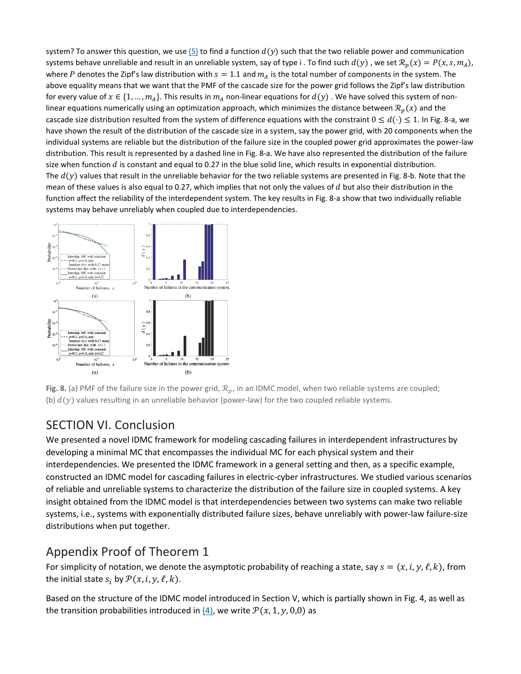system? To answer this question, we use  $(5)$  to find a function  $d(y)$  such that the two reliable power and communication systems behave unreliable and result in an unreliable system, say of type i. To find such  $d(y)$ , we set  $\mathcal{R}_n(x) = P(x, s, m_A)$ , where P denotes the Zipf's law distribution with  $s = 1.1$  and  $m_A$  is the total number of components in the system. The above equality means that we want that the PMF of the cascade size for the power grid follows the Zipf's law distribution for every value of  $x \in \{1, ..., m_A\}$ . This results in  $m_A$  non-linear equations for  $d(y)$ . We have solved this system of nonlinear equations numerically using an optimization approach, which minimizes the distance between  $\mathcal{R}_p(x)$  and the cascade size distribution resulted from the system of difference equations with the constraint  $0 \leq d(\cdot) \leq 1$ . In Fig. 8-a, we have shown the result of the distribution of the cascade size in a system, say the power grid, with 20 components when the individual systems are reliable but the distribution of the failure size in the coupled power grid approximates the power-law distribution. This result is represented by a dashed line in Fig. 8-a. We have also represented the distribution of the failure size when function  $d$  is constant and equal to 0.27 in the blue solid line, which results in exponential distribution. The  $d(y)$  values that result in the unreliable behavior for the two reliable systems are presented in Fig. 8-b. Note that the mean of these values is also equal to 0.27, which implies that not only the values of  $d$  but also their distribution in the function affect the reliability of the interdependent system. The key results in Fig. 8-a show that two individually reliable systems may behave unreliably when coupled due to interdependencies.



**Fig. 8.** (a) PMF of the failure size in the power grid,  $\mathcal{R}_p$ , in an IDMC model, when two reliable systems are coupled; (b)  $d(y)$  values resulting in an unreliable behavior (power-law) for the two coupled reliable systems.

## SECTION VI. Conclusion

We presented a novel IDMC framework for modeling cascading failures in interdependent infrastructures by developing a minimal MC that encompasses the individual MC for each physical system and their interdependencies. We presented the IDMC framework in a general setting and then, as a specific example, constructed an IDMC model for cascading failures in electric-cyber infrastructures. We studied various scenarios of reliable and unreliable systems to characterize the distribution of the failure size in coupled systems. A key insight obtained from the IDMC model is that interdependencies between two systems can make two reliable systems, i.e., systems with exponentially distributed failure sizes, behave unreliably with power-law failure-size distributions when put together.

## Appendix Proof of Theorem 1

For simplicity of notation, we denote the asymptotic probability of reaching a state, say  $s = (x, i, y, \ell, k)$ , from the initial state  $s_i$  by  $\mathcal{P}(x, i, y, \ell, k)$ .

Based on the structure of the IDMC model introduced in Section V, which is partially shown in Fig. 4, as well as the transition probabilities introduced in [\(4\),](https://ieeexplore.ieee.org/document/#deqn4) we write  $\mathcal{P}(x, 1, y, 0,0)$  as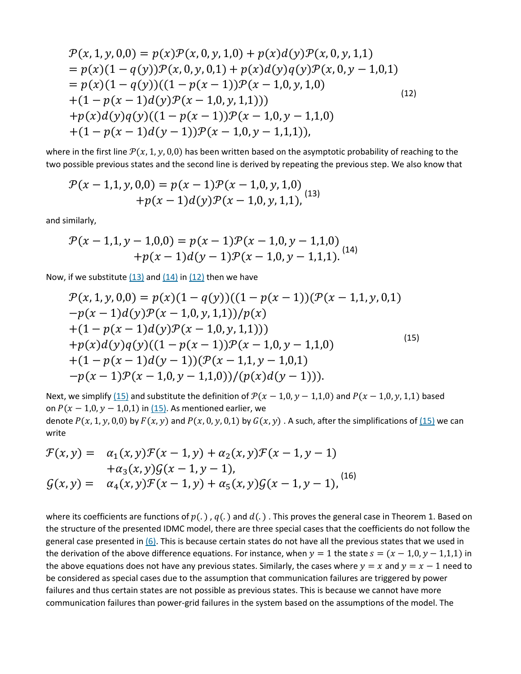$$
\mathcal{P}(x, 1, y, 0, 0) = p(x)\mathcal{P}(x, 0, y, 1, 0) + p(x)d(y)\mathcal{P}(x, 0, y, 1, 1)
$$
  
=  $p(x)(1 - q(y))\mathcal{P}(x, 0, y, 0, 1) + p(x)d(y)q(y)\mathcal{P}(x, 0, y - 1, 0, 1)$   
=  $p(x)(1 - q(y))((1 - p(x - 1))\mathcal{P}(x - 1, 0, y, 1, 0))$   
+  $(1 - p(x - 1)d(y)\mathcal{P}(x - 1, 0, y, 1, 1))$   
+  $p(x)d(y)q(y)((1 - p(x - 1))\mathcal{P}(x - 1, 0, y - 1, 1, 0))$   
+  $(1 - p(x - 1)d(y - 1))\mathcal{P}(x - 1, 0, y - 1, 1, 1))$ , (12)

where in the first line  $\mathcal{P}(x, 1, y, 0,0)$  has been written based on the asymptotic probability of reaching to the two possible previous states and the second line is derived by repeating the previous step. We also know that

$$
\mathcal{P}(x-1,1,y,0,0) = p(x-1)\mathcal{P}(x-1,0,y,1,0)
$$
  
+ $p(x-1)d(y)\mathcal{P}(x-1,0,y,1,1),$  (13)

and similarly,

$$
\mathcal{P}(x-1,1,y-1,0,0) = p(x-1)\mathcal{P}(x-1,0,y-1,1,0)
$$
  
+ $p(x-1)d(y-1)\mathcal{P}(x-1,0,y-1,1,1).$  (14)

Now, if we substitute  $(13)$  and  $(14)$  in  $(12)$  then we have

$$
\mathcal{P}(x, 1, y, 0, 0) = p(x)(1 - q(y))((1 - p(x - 1))(\mathcal{P}(x - 1, 1, y, 0, 1)) - p(x - 1)d(y)\mathcal{P}(x - 1, 0, y, 1, 1))/p(x) \n+ (1 - p(x - 1)d(y)\mathcal{P}(x - 1, 0, y, 1, 1))) \n+ p(x)d(y)q(y)((1 - p(x - 1))\mathcal{P}(x - 1, 0, y - 1, 1, 0) \n+ (1 - p(x - 1)d(y - 1))(\mathcal{P}(x - 1, 1, y - 1, 0, 1) \n- p(x - 1)\mathcal{P}(x - 1, 0, y - 1, 1, 0))/(p(x)d(y - 1))).
$$
\n(13)

Next, we simplify [\(15\)](https://ieeexplore.ieee.org/document/#deqn15) and substitute the definition of  $\mathcal{P}(x - 1,0, y - 1,1,0)$  and  $P(x - 1,0, y, 1,1)$  based on  $P(x - 1,0, y - 1,0,1)$  in [\(15\).](https://ieeexplore.ieee.org/document/#deqn15) As mentioned earlier, we denote  $P(x, 1, y, 0, 0)$  by  $F(x, y)$  and  $P(x, 0, y, 0, 1)$  by  $G(x, y)$ . A such, after the simplifications of  $(15)$  we can write

$$
\mathcal{F}(x, y) = \alpha_1(x, y)\mathcal{F}(x - 1, y) + \alpha_2(x, y)\mathcal{F}(x - 1, y - 1) \n+ \alpha_3(x, y)\mathcal{G}(x - 1, y - 1), \n\mathcal{G}(x, y) = \alpha_4(x, y)\mathcal{F}(x - 1, y) + \alpha_5(x, y)\mathcal{G}(x - 1, y - 1),
$$
\n(16)

where its coefficients are functions of  $p(.)$ ,  $q(.)$  and  $d(.)$ . This proves the general case in Theorem 1. Based on the structure of the presented IDMC model, there are three special cases that the coefficients do not follow the general case presented in  $(6)$ . This is because certain states do not have all the previous states that we used in the derivation of the above difference equations. For instance, when  $y = 1$  the state  $s = (x - 1,0, y - 1,1,1)$  in the above equations does not have any previous states. Similarly, the cases where  $y = x$  and  $y = x - 1$  need to be considered as special cases due to the assumption that communication failures are triggered by power failures and thus certain states are not possible as previous states. This is because we cannot have more communication failures than power-grid failures in the system based on the assumptions of the model. The